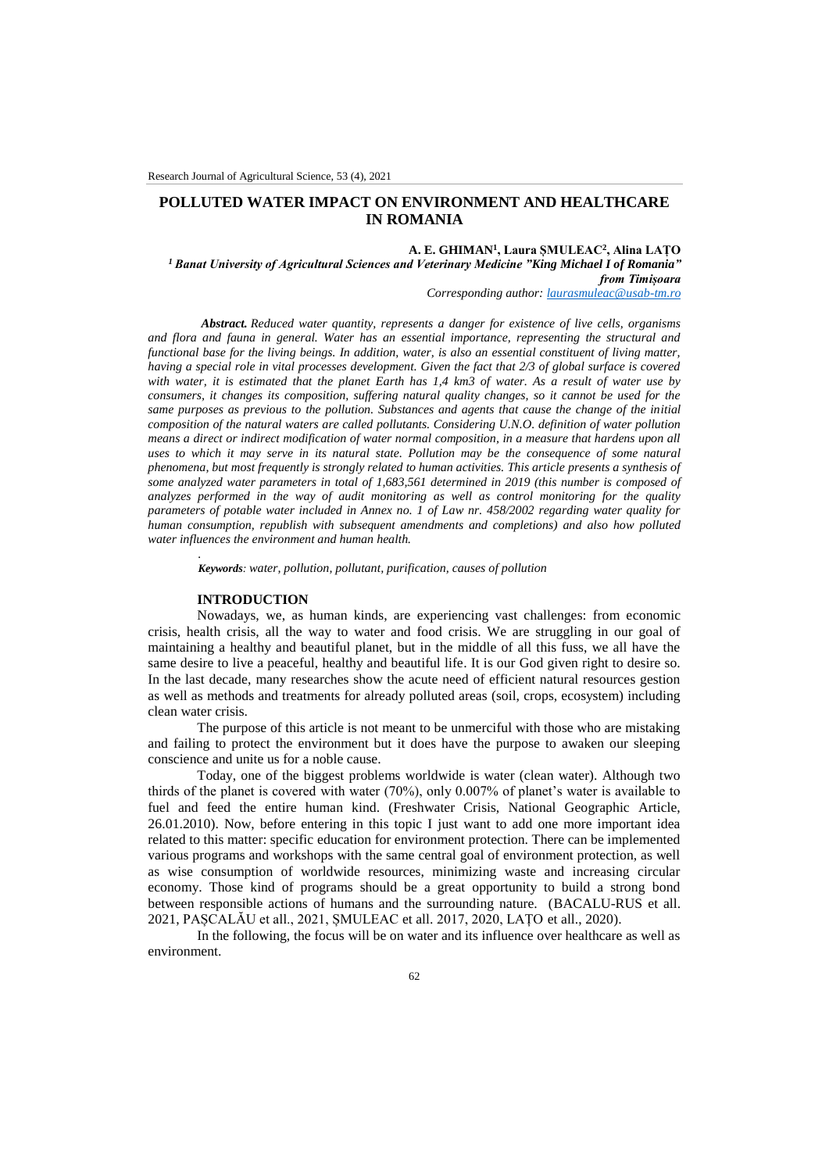# **POLLUTED WATER IMPACT ON ENVIRONMENT AND HEALTHCARE IN ROMANIA**

#### **A. E. GHIMAN<sup>1</sup> , Laura ȘMULEAC<sup>2</sup> , Alina LAȚO**

*<sup>1</sup> Banat University of Agricultural Sciences and Veterinary Medicine "King Michael I of Romania" from Timișoara*

*Corresponding author[: laurasmuleac@usab-tm.ro](mailto:laurasmuleac@usab-tm.ro)*

*Abstract. Reduced water quantity, represents a danger for existence of live cells, organisms and flora and fauna in general. Water has an essential importance, representing the structural and functional base for the living beings. In addition, water, is also an essential constituent of living matter, having a special role in vital processes development. Given the fact that 2/3 of global surface is covered with water, it is estimated that the planet Earth has 1,4 km3 of water. As a result of water use by consumers, it changes its composition, suffering natural quality changes, so it cannot be used for the same purposes as previous to the pollution. Substances and agents that cause the change of the initial composition of the natural waters are called pollutants. Considering U.N.O. definition of water pollution means a direct or indirect modification of water normal composition, in a measure that hardens upon all uses to which it may serve in its natural state. Pollution may be the consequence of some natural phenomena, but most frequently is strongly related to human activities. This article presents a synthesis of some analyzed water parameters in total of 1,683,561 determined in 2019 (this number is composed of analyzes performed in the way of audit monitoring as well as control monitoring for the quality parameters of potable water included in Annex no. 1 of Law nr. 458/2002 regarding water quality for human consumption, republish with subsequent amendments and completions) and also how polluted water influences the environment and human health.*

*Keywords: water, pollution, pollutant, purification, causes of pollution*

# **INTRODUCTION**

*.*

Nowadays, we, as human kinds, are experiencing vast challenges: from economic crisis, health crisis, all the way to water and food crisis. We are struggling in our goal of maintaining a healthy and beautiful planet, but in the middle of all this fuss, we all have the same desire to live a peaceful, healthy and beautiful life. It is our God given right to desire so. In the last decade, many researches show the acute need of efficient natural resources gestion as well as methods and treatments for already polluted areas (soil, crops, ecosystem) including clean water crisis.

The purpose of this article is not meant to be unmerciful with those who are mistaking and failing to protect the environment but it does have the purpose to awaken our sleeping conscience and unite us for a noble cause.

Today, one of the biggest problems worldwide is water (clean water). Although two thirds of the planet is covered with water (70%), only 0.007% of planet's water is available to fuel and feed the entire human kind. (Freshwater Crisis, National Geographic Article, 26.01.2010). Now, before entering in this topic I just want to add one more important idea related to this matter: specific education for environment protection. There can be implemented various programs and workshops with the same central goal of environment protection, as well as wise consumption of worldwide resources, minimizing waste and increasing circular economy. Those kind of programs should be a great opportunity to build a strong bond between responsible actions of humans and the surrounding nature. (BACALU-RUS et all. 2021, PAȘCALĂU et all., 2021, ȘMULEAC et all. 2017, 2020, LAȚO et all., 2020).

In the following, the focus will be on water and its influence over healthcare as well as environment.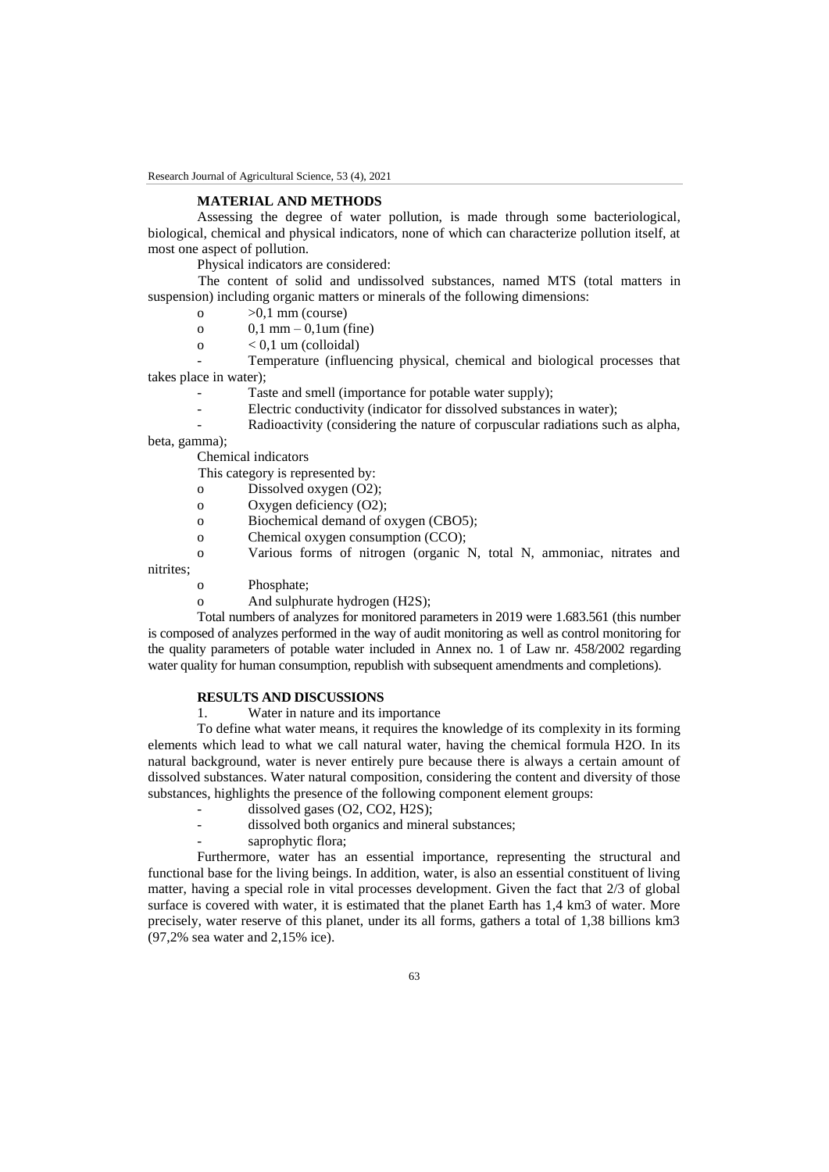## **MATERIAL AND METHODS**

Assessing the degree of water pollution, is made through some bacteriological, biological, chemical and physical indicators, none of which can characterize pollution itself, at most one aspect of pollution.

Physical indicators are considered:

The content of solid and undissolved substances, named MTS (total matters in suspension) including organic matters or minerals of the following dimensions:

- o  $>0.1$  mm (course)
- o  $0,1 \text{ mm} 0,1 \text{ um (fine)}$
- $\Omega$  < 0.1 um (colloidal)

- Temperature (influencing physical, chemical and biological processes that takes place in water);

- Taste and smell (importance for potable water supply);
- Electric conductivity (indicator for dissolved substances in water);
- Radioactivity (considering the nature of corpuscular radiations such as alpha,

beta, gamma);

Chemical indicators

This category is represented by:

- o Dissolved oxygen (O2);
- o Oxygen deficiency (O2);
- o Biochemical demand of oxygen (CBO5);
- o Chemical oxygen consumption (CCO);
- o Various forms of nitrogen (organic N, total N, ammoniac, nitrates and

nitrites;

- o Phosphate;
- o And sulphurate hydrogen (H2S);

Total numbers of analyzes for monitored parameters in 2019 were 1.683.561 (this number is composed of analyzes performed in the way of audit monitoring as well as control monitoring for the quality parameters of potable water included in Annex no. 1 of Law nr. 458/2002 regarding water quality for human consumption, republish with subsequent amendments and completions).

### **RESULTS AND DISCUSSIONS**

1. Water in nature and its importance

To define what water means, it requires the knowledge of its complexity in its forming elements which lead to what we call natural water, having the chemical formula H2O. In its natural background, water is never entirely pure because there is always a certain amount of dissolved substances. Water natural composition, considering the content and diversity of those substances, highlights the presence of the following component element groups:

- dissolved gases (O2, CO2, H2S);
- dissolved both organics and mineral substances;
- saprophytic flora;

Furthermore, water has an essential importance, representing the structural and functional base for the living beings. In addition, water, is also an essential constituent of living matter, having a special role in vital processes development. Given the fact that 2/3 of global surface is covered with water, it is estimated that the planet Earth has 1,4 km3 of water. More precisely, water reserve of this planet, under its all forms, gathers a total of 1,38 billions km3 (97,2% sea water and 2,15% ice).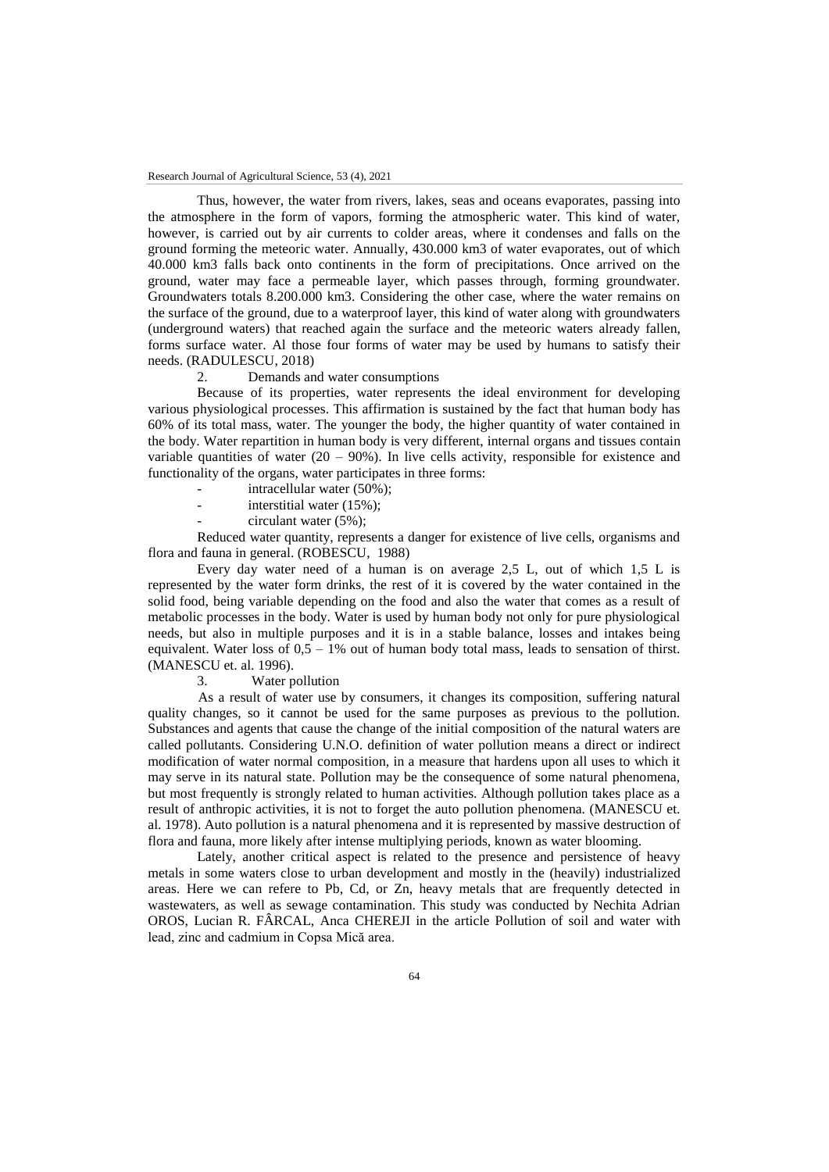Thus, however, the water from rivers, lakes, seas and oceans evaporates, passing into the atmosphere in the form of vapors, forming the atmospheric water. This kind of water, however, is carried out by air currents to colder areas, where it condenses and falls on the ground forming the meteoric water. Annually, 430.000 km3 of water evaporates, out of which 40.000 km3 falls back onto continents in the form of precipitations. Once arrived on the ground, water may face a permeable layer, which passes through, forming groundwater. Groundwaters totals 8.200.000 km3. Considering the other case, where the water remains on the surface of the ground, due to a waterproof layer, this kind of water along with groundwaters (underground waters) that reached again the surface and the meteoric waters already fallen, forms surface water. Al those four forms of water may be used by humans to satisfy their needs. (RADULESCU, 2018)

2. Demands and water consumptions

Because of its properties, water represents the ideal environment for developing various physiological processes. This affirmation is sustained by the fact that human body has 60% of its total mass, water. The younger the body, the higher quantity of water contained in the body. Water repartition in human body is very different, internal organs and tissues contain variable quantities of water  $(20 - 90\%)$ . In live cells activity, responsible for existence and functionality of the organs, water participates in three forms:

- intracellular water (50%);
- interstitial water  $(15\%)$ ;
- $circular water (5%)$ ;

Reduced water quantity, represents a danger for existence of live cells, organisms and flora and fauna in general. (ROBESCU, 1988)

Every day water need of a human is on average 2,5 L, out of which 1,5 L is represented by the water form drinks, the rest of it is covered by the water contained in the solid food, being variable depending on the food and also the water that comes as a result of metabolic processes in the body. Water is used by human body not only for pure physiological needs, but also in multiple purposes and it is in a stable balance, losses and intakes being equivalent. Water loss of  $0.5 - 1\%$  out of human body total mass, leads to sensation of thirst. (MANESCU et. al. 1996).

3. Water pollution

As a result of water use by consumers, it changes its composition, suffering natural quality changes, so it cannot be used for the same purposes as previous to the pollution. Substances and agents that cause the change of the initial composition of the natural waters are called pollutants. Considering U.N.O. definition of water pollution means a direct or indirect modification of water normal composition, in a measure that hardens upon all uses to which it may serve in its natural state. Pollution may be the consequence of some natural phenomena, but most frequently is strongly related to human activities. Although pollution takes place as a result of anthropic activities, it is not to forget the auto pollution phenomena. (MANESCU et. al. 1978). Auto pollution is a natural phenomena and it is represented by massive destruction of flora and fauna, more likely after intense multiplying periods, known as water blooming.

Lately, another critical aspect is related to the presence and persistence of heavy metals in some waters close to urban development and mostly in the (heavily) industrialized areas. Here we can refere to Pb, Cd, or Zn, heavy metals that are frequently detected in wastewaters, as well as sewage contamination. This study was conducted by Nechita Adrian OROS, Lucian R. FÂRCAL, Anca CHEREJI in the article Pollution of soil and water with lead, zinc and cadmium in Copsa Mică area.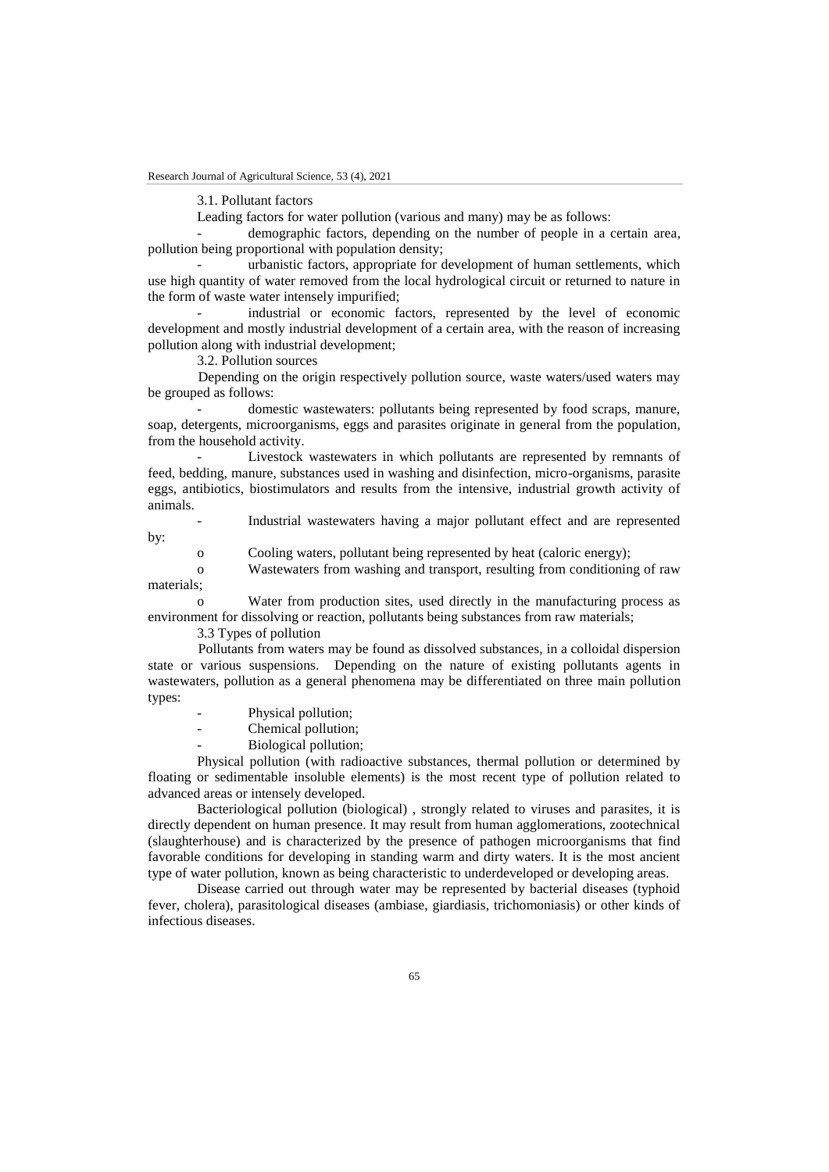3.1. Pollutant factors

Leading factors for water pollution (various and many) may be as follows:

demographic factors, depending on the number of people in a certain area, pollution being proportional with population density;

urbanistic factors, appropriate for development of human settlements, which use high quantity of water removed from the local hydrological circuit or returned to nature in the form of waste water intensely impurified;

industrial or economic factors, represented by the level of economic development and mostly industrial development of a certain area, with the reason of increasing pollution along with industrial development;

3.2. Pollution sources

Depending on the origin respectively pollution source, waste waters/used waters may be grouped as follows:

- domestic wastewaters: pollutants being represented by food scraps, manure, soap, detergents, microorganisms, eggs and parasites originate in general from the population, from the household activity.

Livestock wastewaters in which pollutants are represented by remnants of feed, bedding, manure, substances used in washing and disinfection, micro-organisms, parasite eggs, antibiotics, biostimulators and results from the intensive, industrial growth activity of animals.

- Industrial wastewaters having a major pollutant effect and are represented by:

o Cooling waters, pollutant being represented by heat (caloric energy);

o Wastewaters from washing and transport, resulting from conditioning of raw materials;

Water from production sites, used directly in the manufacturing process as environment for dissolving or reaction, pollutants being substances from raw materials;

3.3 Types of pollution

Pollutants from waters may be found as dissolved substances, in a colloidal dispersion state or various suspensions. Depending on the nature of existing pollutants agents in wastewaters, pollution as a general phenomena may be differentiated on three main pollution types:

- Physical pollution;
- Chemical pollution;
- Biological pollution;

Physical pollution (with radioactive substances, thermal pollution or determined by floating or sedimentable insoluble elements) is the most recent type of pollution related to advanced areas or intensely developed.

Bacteriological pollution (biological) , strongly related to viruses and parasites, it is directly dependent on human presence. It may result from human agglomerations, zootechnical (slaughterhouse) and is characterized by the presence of pathogen microorganisms that find favorable conditions for developing in standing warm and dirty waters. It is the most ancient type of water pollution, known as being characteristic to underdeveloped or developing areas.

Disease carried out through water may be represented by bacterial diseases (typhoid fever, cholera), parasitological diseases (ambiase, giardiasis, trichomoniasis) or other kinds of infectious diseases.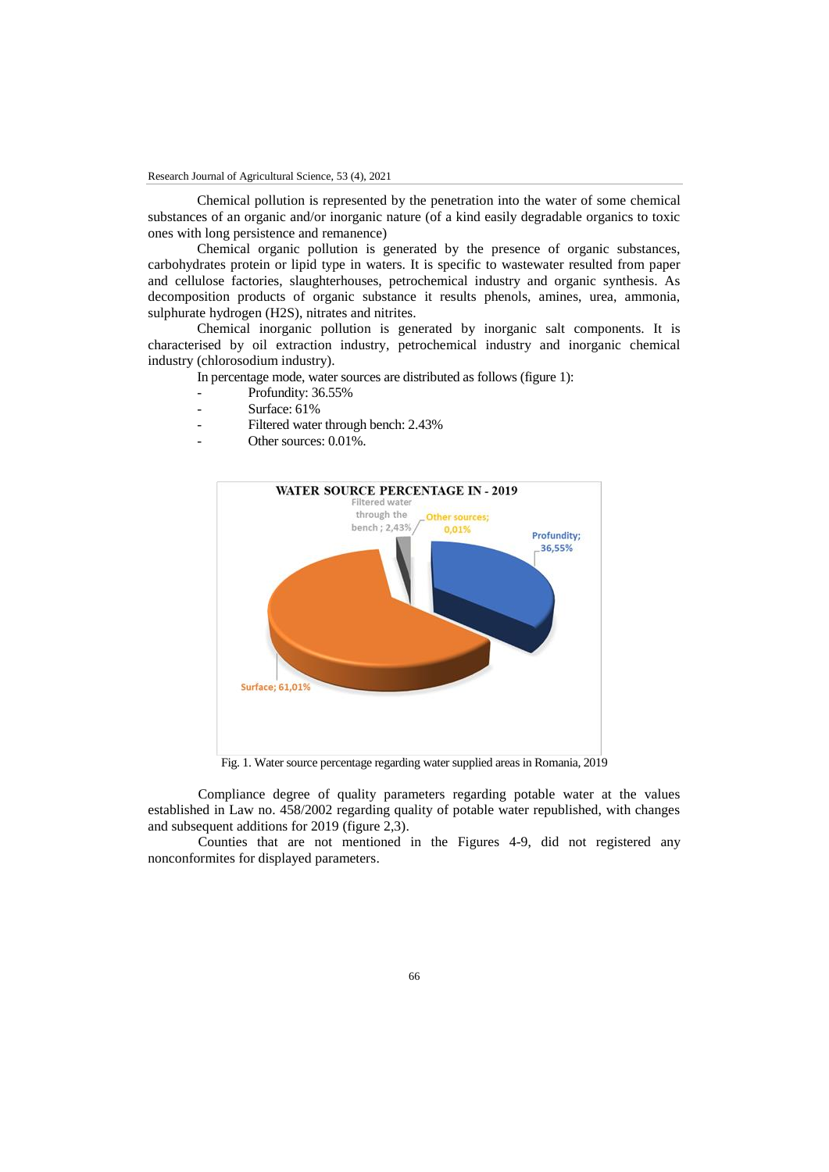Chemical pollution is represented by the penetration into the water of some chemical substances of an organic and/or inorganic nature (of a kind easily degradable organics to toxic ones with long persistence and remanence)

Chemical organic pollution is generated by the presence of organic substances, carbohydrates protein or lipid type in waters. It is specific to wastewater resulted from paper and cellulose factories, slaughterhouses, petrochemical industry and organic synthesis. As decomposition products of organic substance it results phenols, amines, urea, ammonia, sulphurate hydrogen (H2S), nitrates and nitrites.

Chemical inorganic pollution is generated by inorganic salt components. It is characterised by oil extraction industry, petrochemical industry and inorganic chemical industry (chlorosodium industry).

In percentage mode, water sources are distributed as follows (figure 1):

- Profundity: 36.55%
- Surface: 61%
- Filtered water through bench: 2.43%
- Other sources: 0.01%.



Fig. 1. Water source percentage regarding water supplied areas in Romania, 2019

Compliance degree of quality parameters regarding potable water at the values established in Law no. 458/2002 regarding quality of potable water republished, with changes and subsequent additions for 2019 (figure 2,3).

Counties that are not mentioned in the Figures 4-9, did not registered any nonconformites for displayed parameters.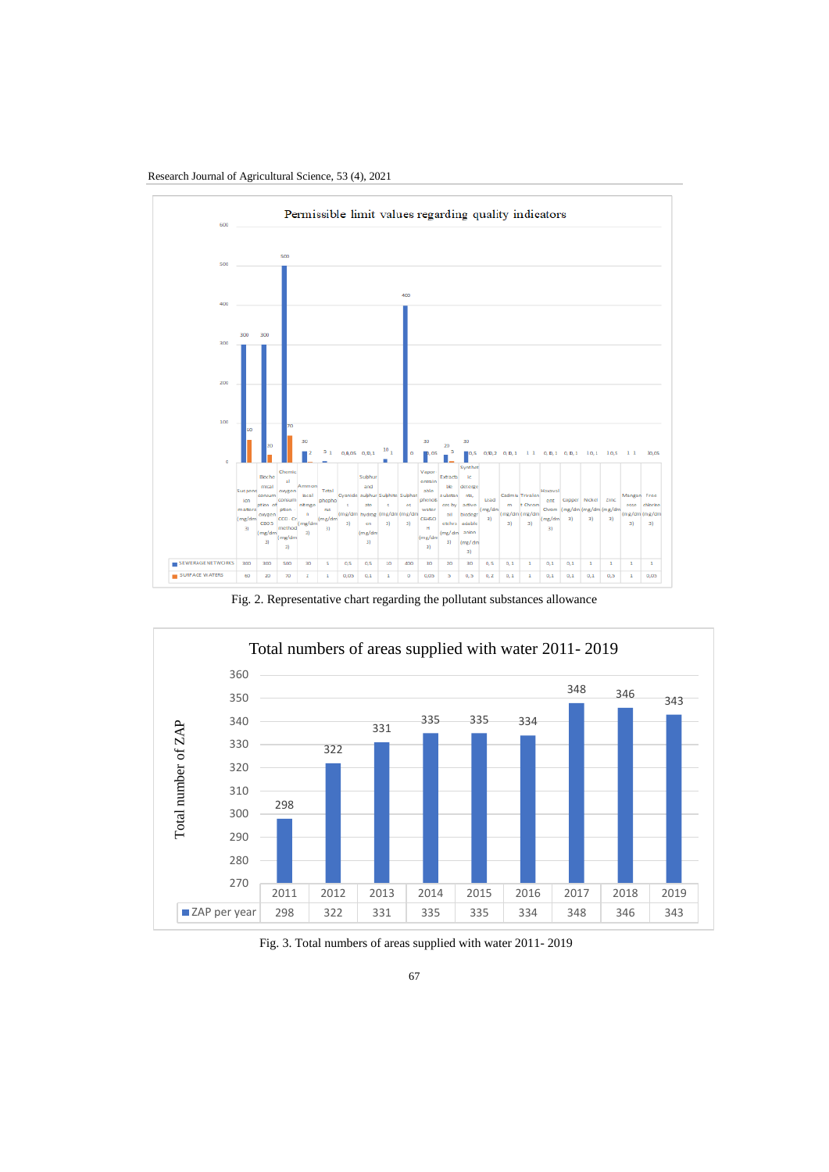

Research Journal of Agricultural Science, 53 (4), 2021

Fig. 2. Representative chart regarding the pollutant substances allowance



Fig. 3. Total numbers of areas supplied with water 2011- 2019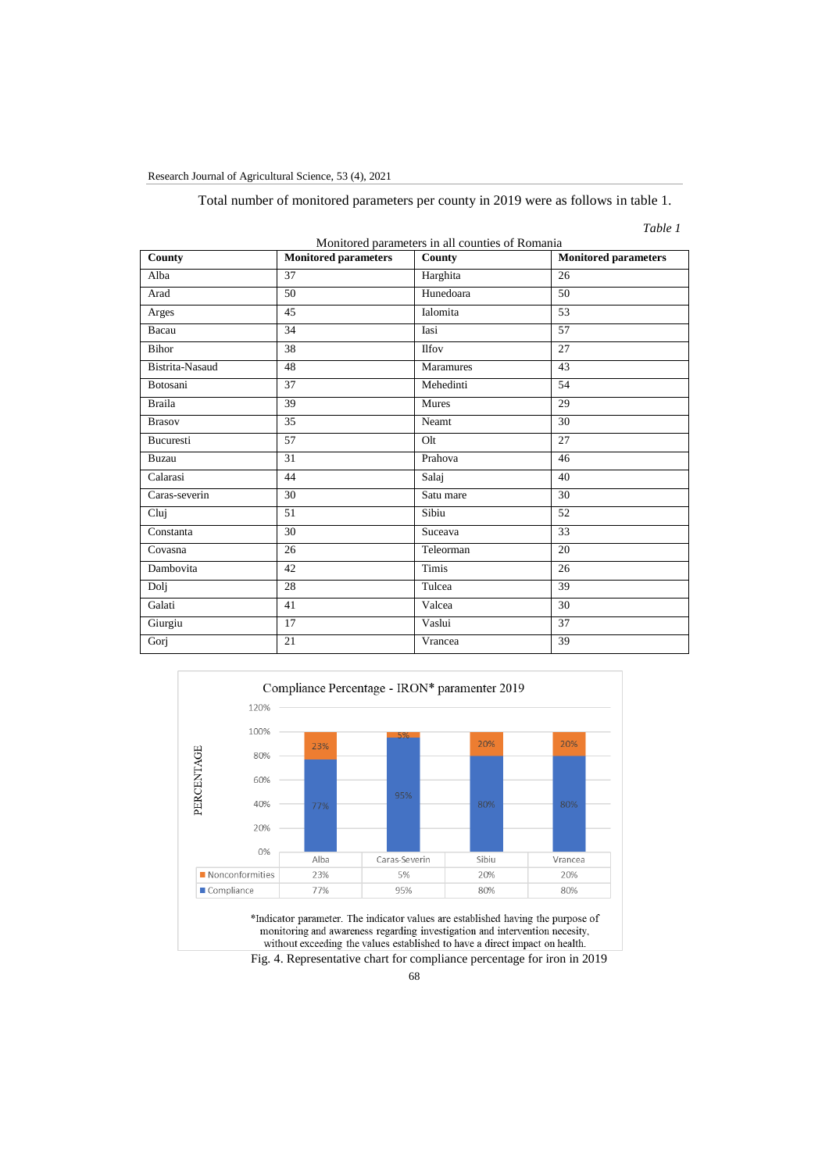Research Journal of Agricultural Science, 53 (4), 2021

Total number of monitored parameters per county in 2019 were as follows in table 1.

*Table 1*

| Monitored parameters in all counties of Romania |                             |                 |                             |
|-------------------------------------------------|-----------------------------|-----------------|-----------------------------|
| County                                          | <b>Monitored parameters</b> | County          | <b>Monitored parameters</b> |
| Alba                                            | 37                          | Harghita        | 26                          |
| Arad                                            | 50                          | Hunedoara       | 50                          |
| Arges                                           | 45                          | Ialomita        | 53                          |
| Bacau                                           | 34                          | Iasi            | 57                          |
| Bihor                                           | 38                          | <b>Ilfov</b>    | 27                          |
| Bistrita-Nasaud                                 | 48                          | Maramures       | 43                          |
| Botosani                                        | 37                          | Mehedinti       | 54                          |
| <b>Braila</b>                                   | 39                          | <b>Mures</b>    | 29                          |
| <b>Brasov</b>                                   | 35                          | Neamt           | 30                          |
| <b>Bucuresti</b>                                | 57                          | Q <sub>1t</sub> | 27                          |
| <b>Buzau</b>                                    | 31                          | Prahova         | 46                          |
| Calarasi                                        | 44                          | Salaj           | 40                          |
| Caras-severin                                   | 30                          | Satu mare       | 30                          |
| Cluj                                            | 51                          | Sibiu           | 52                          |
| Constanta                                       | 30                          | Suceava         | 33                          |
| Covasna                                         | 26                          | Teleorman       | 20                          |
| Dambovita                                       | 42                          | <b>Timis</b>    | 26                          |
| Dolj                                            | 28                          | Tulcea          | 39                          |
| Galati                                          | 41                          | Valcea          | 30                          |
| Giurgiu                                         | 17                          | Vaslui          | 37                          |
| Gorj                                            | 21                          | Vrancea         | 39                          |



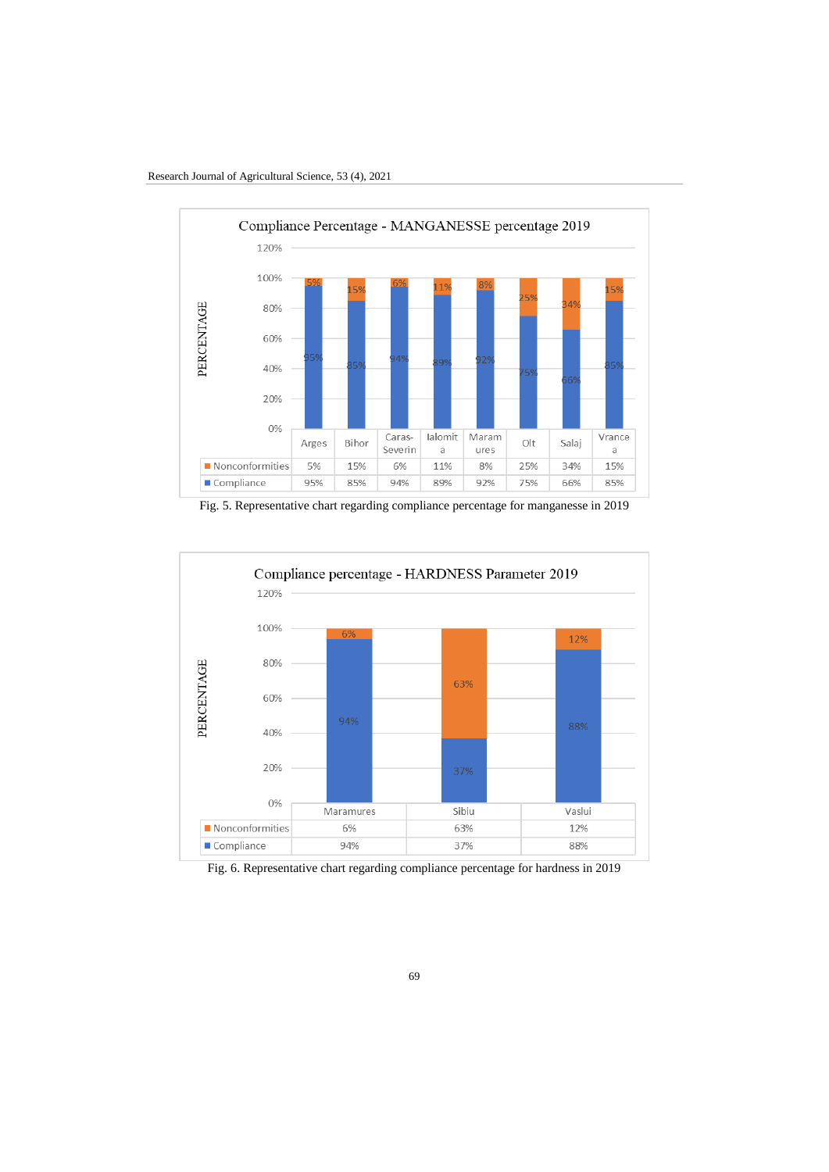

Fig. 5. Representative chart regarding compliance percentage for manganesse in 2019



Fig. 6. Representative chart regarding compliance percentage for hardness in 2019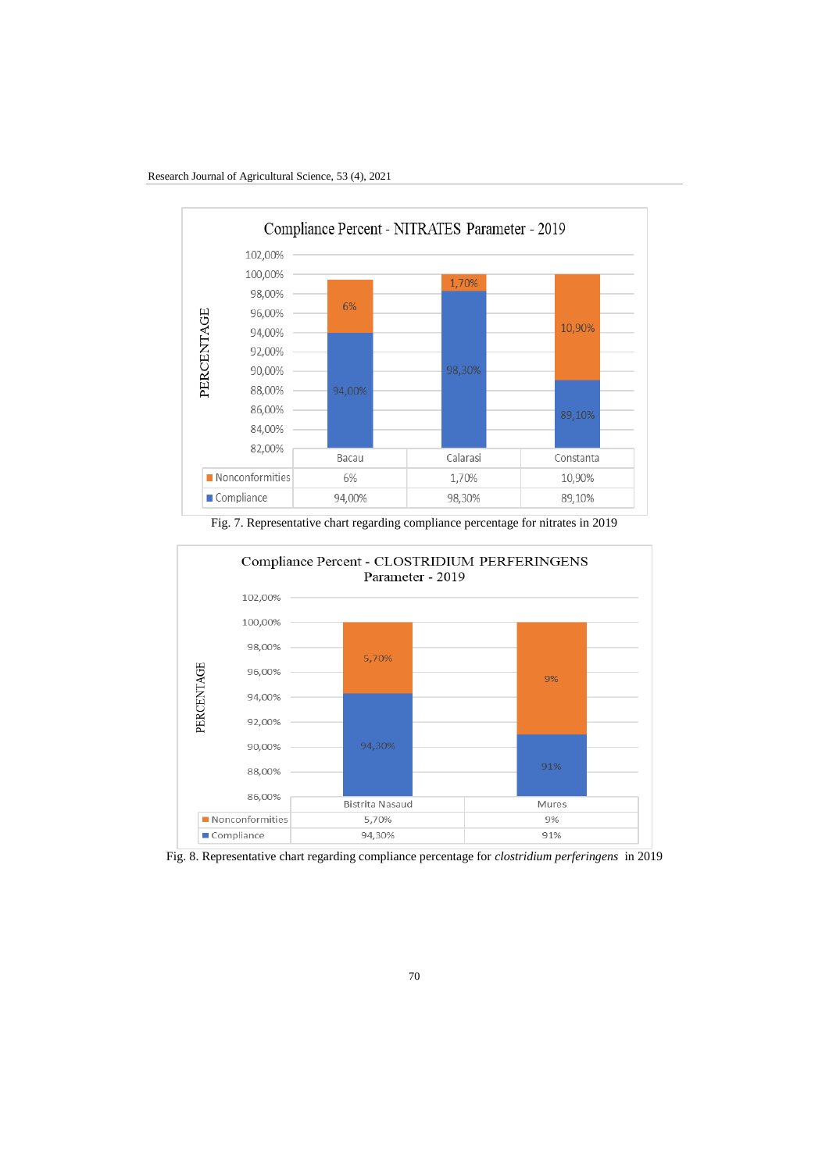

Fig. 7. Representative chart regarding compliance percentage for nitrates in 2019



Fig. 8. Representative chart regarding compliance percentage for *clostridium perferingens* in 2019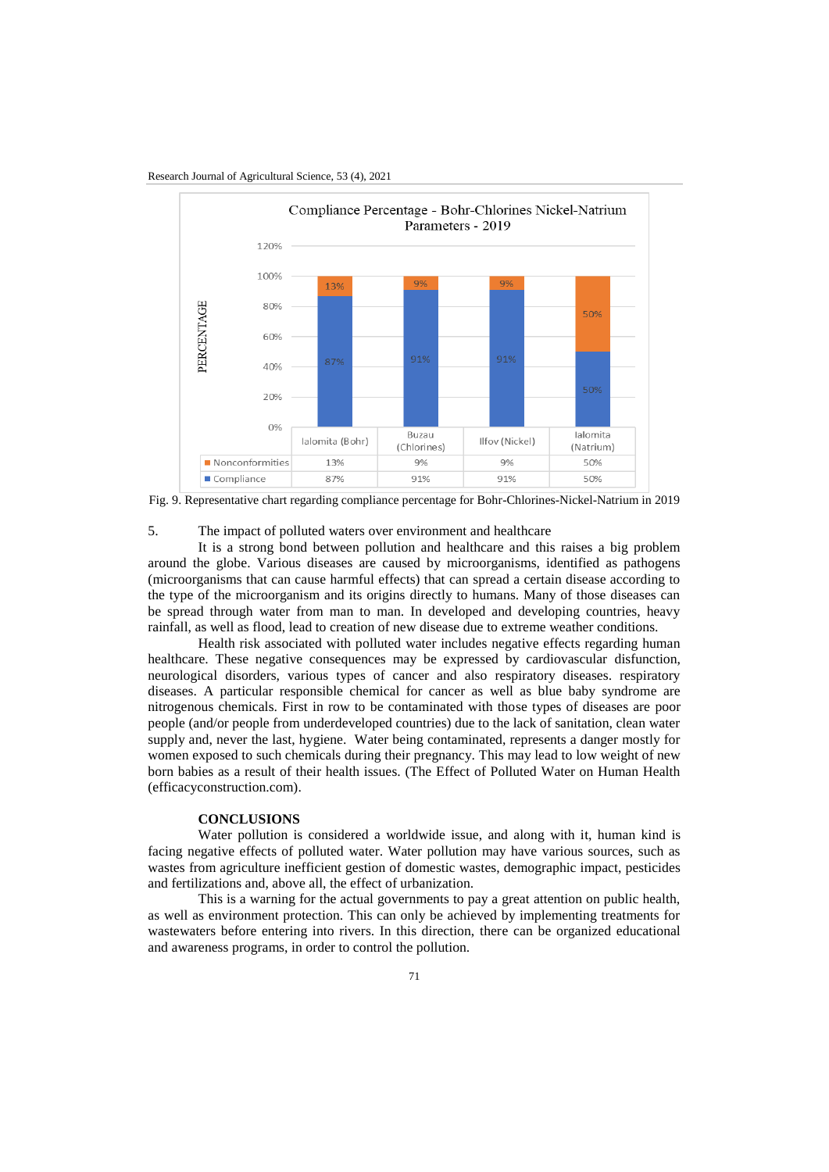Research Journal of Agricultural Science, 53 (4), 2021



Fig. 9. Representative chart regarding compliance percentage for Bohr-Chlorines-Nickel-Natrium in 2019

#### 5. The impact of polluted waters over environment and healthcare

It is a strong bond between pollution and healthcare and this raises a big problem around the globe. Various diseases are caused by microorganisms, identified as pathogens (microorganisms that can cause harmful effects) that can spread a certain disease according to the type of the microorganism and its origins directly to humans. Many of those diseases can be spread through water from man to man. In developed and developing countries, heavy rainfall, as well as flood, lead to creation of new disease due to extreme weather conditions.

Health risk associated with polluted water includes negative effects regarding human healthcare. These negative consequences may be expressed by cardiovascular disfunction, neurological disorders, various types of cancer and also respiratory diseases. respiratory diseases. A particular responsible chemical for cancer as well as blue baby syndrome are nitrogenous chemicals. First in row to be contaminated with those types of diseases are poor people (and/or people from underdeveloped countries) due to the lack of sanitation, clean water supply and, never the last, hygiene. Water being contaminated, represents a danger mostly for women exposed to such chemicals during their pregnancy. This may lead to low weight of new born babies as a result of their health issues. (The Effect of Polluted Water on Human Health (efficacyconstruction.com).

#### **CONCLUSIONS**

Water pollution is considered a worldwide issue, and along with it, human kind is facing negative effects of polluted water. Water pollution may have various sources, such as wastes from agriculture inefficient gestion of domestic wastes, demographic impact, pesticides and fertilizations and, above all, the effect of urbanization.

This is a warning for the actual governments to pay a great attention on public health, as well as environment protection. This can only be achieved by implementing treatments for wastewaters before entering into rivers. In this direction, there can be organized educational and awareness programs, in order to control the pollution.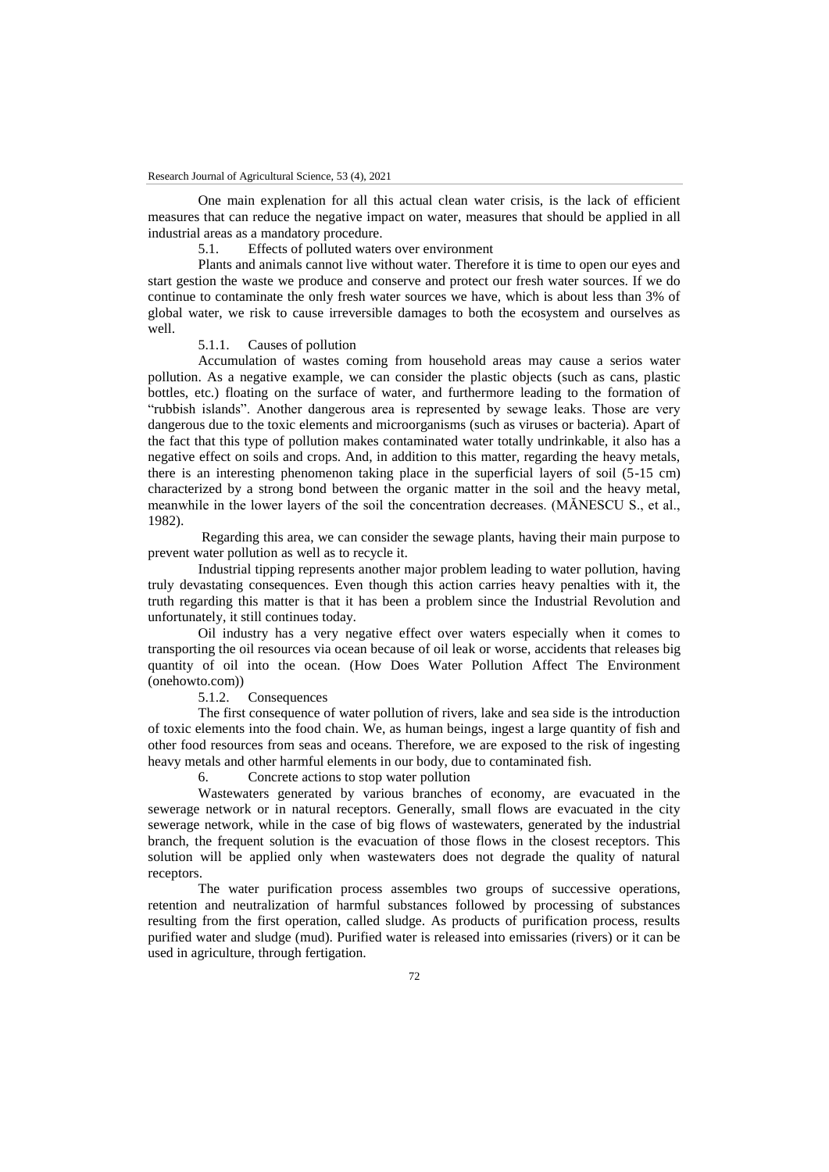One main explenation for all this actual clean water crisis, is the lack of efficient measures that can reduce the negative impact on water, measures that should be applied in all industrial areas as a mandatory procedure.

5.1. Effects of polluted waters over environment

Plants and animals cannot live without water. Therefore it is time to open our eyes and start gestion the waste we produce and conserve and protect our fresh water sources. If we do continue to contaminate the only fresh water sources we have, which is about less than 3% of global water, we risk to cause irreversible damages to both the ecosystem and ourselves as well.

### 5.1.1. Causes of pollution

Accumulation of wastes coming from household areas may cause a serios water pollution. As a negative example, we can consider the plastic objects (such as cans, plastic bottles, etc.) floating on the surface of water, and furthermore leading to the formation of "rubbish islands". Another dangerous area is represented by sewage leaks. Those are very dangerous due to the toxic elements and microorganisms (such as viruses or bacteria). Apart of the fact that this type of pollution makes contaminated water totally undrinkable, it also has a negative effect on soils and crops. And, in addition to this matter, regarding the heavy metals, there is an interesting phenomenon taking place in the superficial layers of soil (5-15 cm) characterized by a strong bond between the organic matter in the soil and the heavy metal, meanwhile in the lower layers of the soil the concentration decreases. (MĂNESCU S., et al., 1982).

Regarding this area, we can consider the sewage plants, having their main purpose to prevent water pollution as well as to recycle it.

Industrial tipping represents another major problem leading to water pollution, having truly devastating consequences. Even though this action carries heavy penalties with it, the truth regarding this matter is that it has been a problem since the Industrial Revolution and unfortunately, it still continues today.

Oil industry has a very negative effect over waters especially when it comes to transporting the oil resources via ocean because of oil leak or worse, accidents that releases big quantity of oil into the ocean. (How Does Water Pollution Affect The Environment  $(onehowto.com))$ <br>5.1.2.

Consequences

The first consequence of water pollution of rivers, lake and sea side is the introduction of toxic elements into the food chain. We, as human beings, ingest a large quantity of fish and other food resources from seas and oceans. Therefore, we are exposed to the risk of ingesting heavy metals and other harmful elements in our body, due to contaminated fish.

6. Concrete actions to stop water pollution

Wastewaters generated by various branches of economy, are evacuated in the sewerage network or in natural receptors. Generally, small flows are evacuated in the city sewerage network, while in the case of big flows of wastewaters, generated by the industrial branch, the frequent solution is the evacuation of those flows in the closest receptors. This solution will be applied only when wastewaters does not degrade the quality of natural receptors.

The water purification process assembles two groups of successive operations, retention and neutralization of harmful substances followed by processing of substances resulting from the first operation, called sludge. As products of purification process, results purified water and sludge (mud). Purified water is released into emissaries (rivers) or it can be used in agriculture, through fertigation.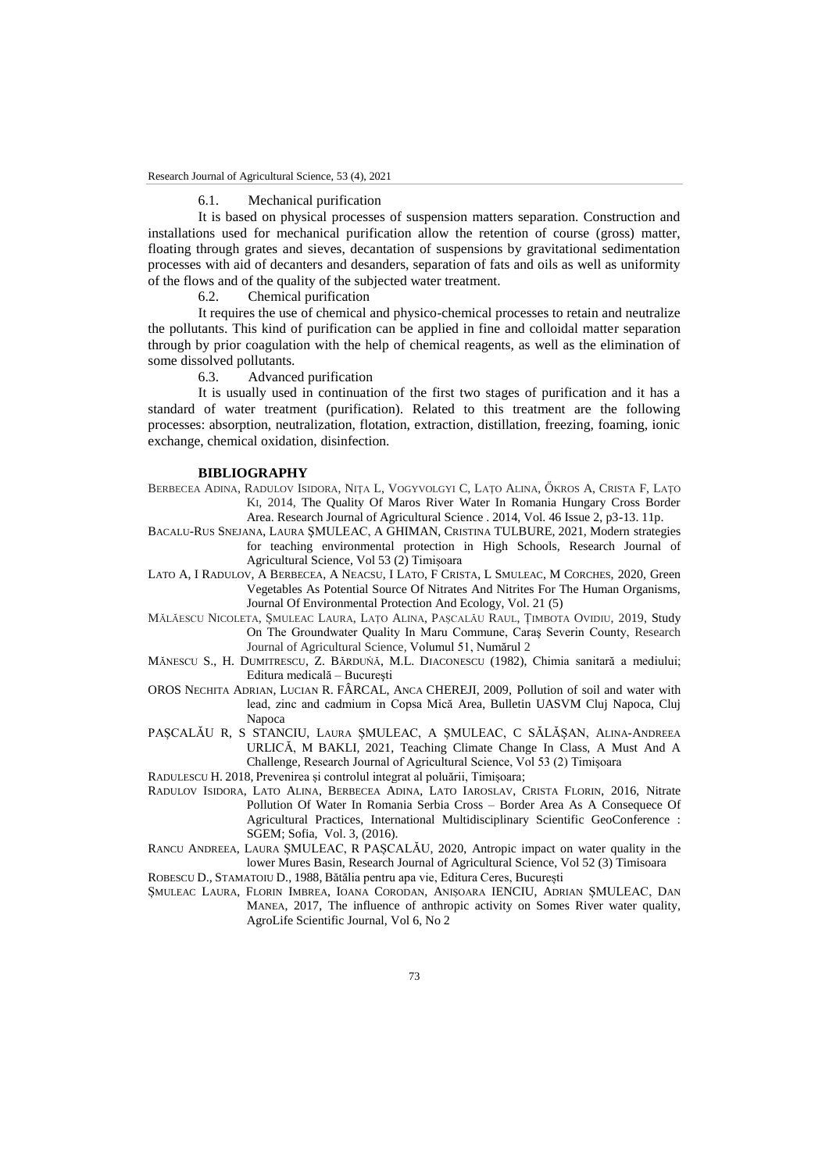### 6.1. Mechanical purification

It is based on physical processes of suspension matters separation. Construction and installations used for mechanical purification allow the retention of course (gross) matter, floating through grates and sieves, decantation of suspensions by gravitational sedimentation processes with aid of decanters and desanders, separation of fats and oils as well as uniformity of the flows and of the quality of the subjected water treatment.<br>6.2. Chemical purification

Chemical purification

It requires the use of chemical and physico-chemical processes to retain and neutralize the pollutants. This kind of purification can be applied in fine and colloidal matter separation through by prior coagulation with the help of chemical reagents, as well as the elimination of some dissolved pollutants.

6.3. Advanced purification

It is usually used in continuation of the first two stages of purification and it has a standard of water treatment (purification). Related to this treatment are the following processes: absorption, neutralization, flotation, extraction, distillation, freezing, foaming, ionic exchange, chemical oxidation, disinfection.

#### **BIBLIOGRAPHY**

- BERBECEA ADINA, RADULOV ISIDORA, NIŢA L, VOGYVOLGYI C, LAŢO ALINA, ŐKROS A, CRISTA F, LAŢO KI, 2014, The Quality Of Maros River Water In Romania Hungary Cross Border Area. Research Journal of Agricultural Science . 2014, Vol. 46 Issue 2, p3-13. 11p.
- BACALU-RUS SNEJANA, LAURA ŞMULEAC, A GHIMAN, CRISTINA TULBURE, 2021, Modern strategies for teaching environmental protection in High Schools, Research Journal of Agricultural Science, Vol 53 (2) Timișoara
- LATO A, I RADULOV, A BERBECEA, A NEACSU, I LATO, F CRISTA, L SMULEAC, M CORCHES, 2020, Green Vegetables As Potential Source Of Nitrates And Nitrites For The Human Organisms, Journal Of Environmental Protection And Ecology, Vol. 21 (5)
- MĂLĂESCU NICOLETA, ȘMULEAC LAURA, LAȚO ALINA, PAȘCALĂU RAUL, ȚIMBOTA OVIDIU, 2019, Study On The Groundwater Quality In Maru Commune, Caraş Severin County, Research Journal of Agricultural Science, Volumul 51, Numărul 2
- MĂNESCU S., H. DUMITRESCU, Z. BĂRDUŃĂ, M.L. DIACONESCU (1982), Chimia sanitară a mediului; Editura medicală – Bucureşti
- OROS NECHITA ADRIAN, LUCIAN R. FÂRCAL, ANCA CHEREJI, 2009, Pollution of soil and water with lead, zinc and cadmium in Copsa Mică Area, Bulletin UASVM Cluj Napoca, Cluj Napoca
- PAȘCALĂU R, S STANCIU, LAURA ȘMULEAC, A ȘMULEAC, C SĂLĂȘAN, ALINA-ANDREEA URLICĂ, M BAKLI, 2021, Teaching Climate Change In Class, A Must And A Challenge, Research Journal of Agricultural Science, Vol 53 (2) Timișoara

RADULESCU H. 2018, Prevenirea și controlul integrat al poluării, Timișoara;

- RADULOV ISIDORA, LATO ALINA, BERBECEA ADINA, LATO IAROSLAV, CRISTA FLORIN, 2016, Nitrate Pollution Of Water In Romania Serbia Cross – Border Area As A Consequece Of Agricultural Practices, [International Multidisciplinary Scientific GeoConference :](https://www.proquest.com/pubidlinkhandler/sng/pubtitle/International+Multidisciplinary+Scientific+GeoConference+:+SGEM/$N/1536338/OpenView/2014477141/$B/7CDCD7FA234E4B2APQ/1;jsessionid=505AA6AB5A1FC73E72E15615A03F4E7D.i-02a9601607185b214)  [SGEM;](https://www.proquest.com/pubidlinkhandler/sng/pubtitle/International+Multidisciplinary+Scientific+GeoConference+:+SGEM/$N/1536338/OpenView/2014477141/$B/7CDCD7FA234E4B2APQ/1;jsessionid=505AA6AB5A1FC73E72E15615A03F4E7D.i-02a9601607185b214) Sofia, Vol. 3, (2016).
- RANCU ANDREEA, LAURA ȘMULEAC, R PAȘCALĂU, 2020, Antropic impact on water quality in the lower Mures Basin, Research Journal of Agricultural Science, Vol 52 (3) Timisoara

ROBESCU D., STAMATOIU D., 1988, Bătălia pentru apa vie, Editura Ceres, București

ȘMULEAC LAURA, FLORIN IMBREA, IOANA CORODAN, ANIȘOARA IENCIU, ADRIAN ȘMULEAC, DAN MANEA, 2017, The influence of anthropic activity on Somes River water quality, AgroLife Scientific Journal, Vol 6, No 2